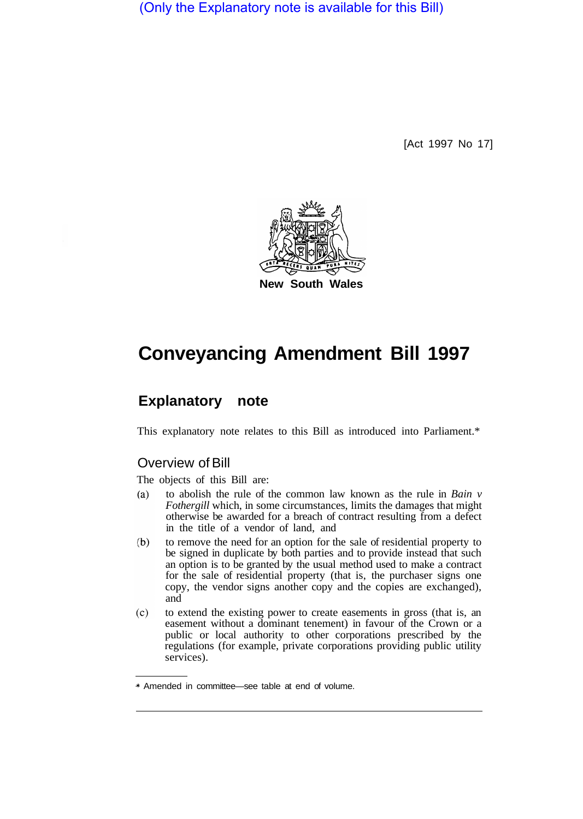(Only the Explanatory note is available for this Bill)

[Act 1997 No 17]



# **Conveyancing Amendment Bill 1997**

# **Explanatory note**

This explanatory note relates to this Bill as introduced into Parliament.\*

## Overview of Bill

The objects of this Bill are:

- to abolish the rule of the common law known as the rule in *Bain v*   $(a)$ *Fothergill* which, in some circumstances, limits the damages that might otherwise be awarded for a breach of contract resulting from a defect in the title of a vendor of land, and
- to remove the need for an option for the sale of residential property to  $(b)$ be signed in duplicate by both parties and to provide instead that such an option is to be granted by the usual method used to make a contract for the sale of residential property (that is, the purchaser signs one copy, the vendor signs another copy and the copies are exchanged), and
- to extend the existing power to create easements in gross (that is, an  $(c)$ easement without a dominant tenement) in favour of the Crown or a public or local authority to other corporations prescribed by the regulations (for example, private corporations providing public utility services).

<sup>\*</sup> Amended in committee—see table at end of volume.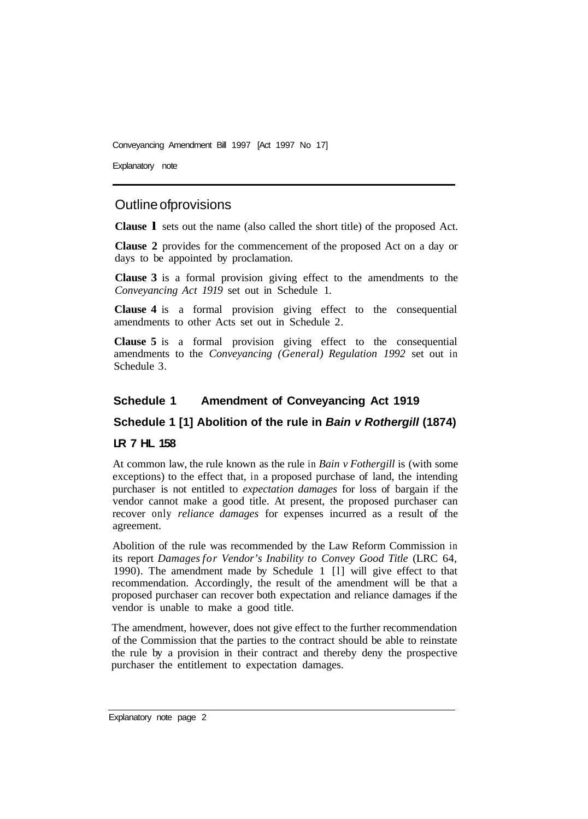Explanatory note

# Outline of provisions

**Clause l** sets out the name (also called the short title) of the proposed Act.

**Clause 2** provides for the commencement of the proposed Act on a day or days to be appointed by proclamation.

**Clause 3** is a formal provision giving effect to the amendments to the *Conveyancing Act 1919* set out in Schedule 1.

**Clause 4** is a formal provision giving effect to the consequential amendments to other Acts set out in Schedule 2.

**Clause 5** is a formal provision giving effect to the consequential amendments to the *Conveyancing (General) Regulation 1992* set out in Schedule 3.

#### **Schedule 1 Amendment of Conveyancing Act 1919**

#### **Schedule 1 [1] Abolition of the rule in** *Bain v Rothergill* **(1874)**

#### **LR 7 HL 158**

At common law, the rule known as the rule in *Bain v Fothergill* is (with some exceptions) to the effect that, in a proposed purchase of land, the intending purchaser is not entitled to *expectation damages* for loss of bargain if the vendor cannot make a good title. At present, the proposed purchaser can recover only *reliance damages* for expenses incurred as a result of the agreement.

Abolition of the rule was recommended by the Law Reform Commission in its report *Damages for Vendor's Inability to Convey Good Title* (LRC 64, 1990). The amendment made by Schedule 1 [l] will give effect to that recommendation. Accordingly, the result of the amendment will be that a proposed purchaser can recover both expectation and reliance damages if the vendor is unable to make a good title.

The amendment, however, does not give effect to the further recommendation of the Commission that the parties to the contract should be able to reinstate the rule by a provision in their contract and thereby deny the prospective purchaser the entitlement to expectation damages.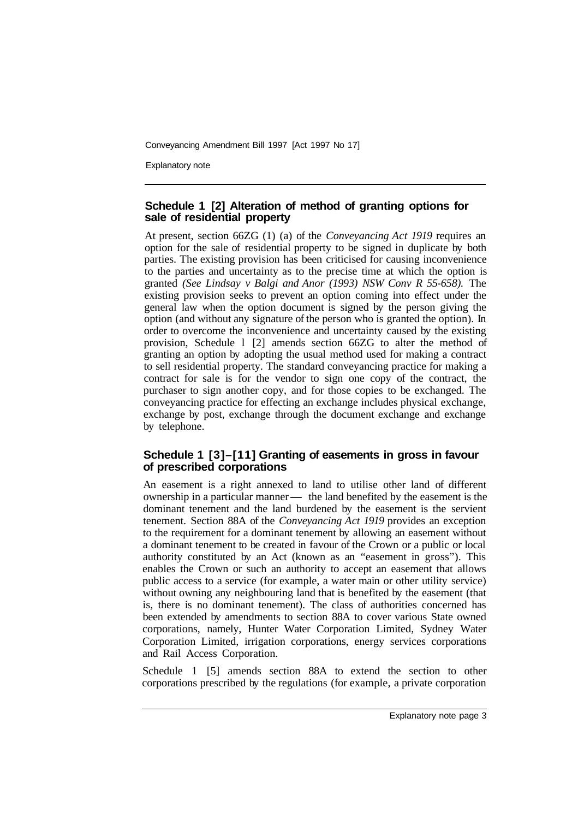Explanatory note

#### **Schedule 1 [2] Alteration of method of granting options for sale of residential property**

At present, section 66ZG (1) (a) of the *Conveyancing Act 1919* requires an option for the sale of residential property to be signed in duplicate by both parties. The existing provision has been criticised for causing inconvenience to the parties and uncertainty as to the precise time at which the option is granted *(See Lindsay v Balgi and Anor (1993) NSW Conv R 55-658).* The existing provision seeks to prevent an option coming into effect under the general law when the option document is signed by the person giving the option (and without any signature of the person who is granted the option). In order to overcome the inconvenience and uncertainty caused by the existing provision, Schedule l [2] amends section 66ZG to alter the method of granting an option by adopting the usual method used for making a contract to sell residential property. The standard conveyancing practice for making a contract for sale is for the vendor to sign one copy of the contract, the purchaser to sign another copy, and for those copies to be exchanged. The conveyancing practice for effecting an exchange includes physical exchange, exchange by post, exchange through the document exchange and exchange by telephone.

#### **Schedule 1 [3]–[11] Granting of easements in gross in favour of prescribed corporations**

An easement is a right annexed to land to utilise other land of different ownership in a particular manner- the land benefited by the easement is the dominant tenement and the land burdened by the easement is the servient tenement. Section 88A of the *Conveyancing Act 1919* provides an exception to the requirement for a dominant tenement by allowing an easement without a dominant tenement to be created in favour of the Crown or a public or local authority constituted by an Act (known as an "easement in gross"). This enables the Crown or such an authority to accept an easement that allows public access to a service (for example, a water main or other utility service) without owning any neighbouring land that is benefited by the easement (that is, there is no dominant tenement). The class of authorities concerned has been extended by amendments to section 88A to cover various State owned corporations, namely, Hunter Water Corporation Limited, Sydney Water Corporation Limited, irrigation corporations, energy services corporations and Rail Access Corporation.

Schedule 1 [5] amends section 88A to extend the section to other corporations prescribed by the regulations (for example, a private corporation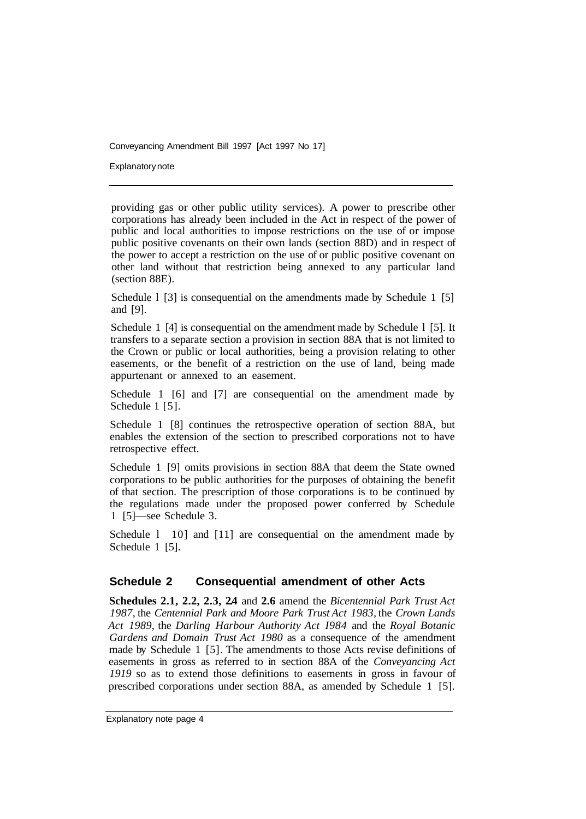Explanatory note

providing gas or other public utility services). A power to prescribe other corporations has already been included in the Act in respect of the power of public and local authorities to impose restrictions on the use of or impose public positive covenants on their own lands (section 88D) and in respect of the power to accept a restriction on the use of or public positive covenant on other land without that restriction being annexed to any particular land (section 88E).

Schedule 1 [3] is consequential on the amendments made by Schedule 1 [5] and [9].

Schedule 1 [4] is consequential on the amendment made by Schedule 1 [5]. It transfers to a separate section a provision in section 88A that is not limited to the Crown or public or local authorities, being a provision relating to other easements, or the benefit of a restriction on the use of land, being made appurtenant or annexed to an easement.

Schedule 1 [6] and [7] are consequential on the amendment made by Schedule 1 [5].

Schedule 1 [8] continues the retrospective operation of section 88A, but enables the extension of the section to prescribed corporations not to have retrospective effect.

Schedule 1 [9] omits provisions in section 88A that deem the State owned corporations to be public authorities for the purposes of obtaining the benefit of that section. The prescription of those corporations is to be continued by the regulations made under the proposed power conferred by Schedule 1 [5]—see Schedule 3.

Schedule 1 10] and [11] are consequential on the amendment made by Schedule 1 [5].

#### **Schedule 2 Consequential amendment of other Acts**

**Schedules 2.1, 2.2, 2.3, 2.4** and **2.6** amend the *Bicentennial Park Trust Act 1987,* the *Centennial Park and Moore Park Trust Act 1983,* the *Crown Lands Act 1989,* the *Darling Harbour Authority Act I984* and the *Royal Botanic Gardens and Domain Trust Act 1980* as a consequence of the amendment made by Schedule 1 [5]. The amendments to those Acts revise definitions of easements in gross as referred to in section 88A of the *Conveyancing Act 1919* so as to extend those definitions to easements in gross in favour of prescribed corporations under section 88A, as amended by Schedule 1 [5].